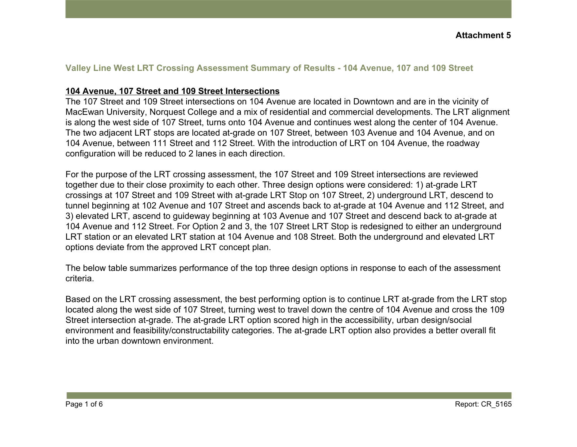#### **Valley Line West LRT Crossing Assessment Summary of Results - 104 Avenue, 107 and 109 Street**

#### **104 Avenue, 107 Street and 109 Street Intersections**

The 107 Street and 109 Street intersections on 104 Avenue are located in Downtown and are in the vicinity of MacEwan University, Norquest College and a mix of residential and commercial developments. The LRT alignment is along the west side of 107 Street, turns onto 104 Avenue and continues west along the center of 104 Avenue. The two adjacent LRT stops are located at-grade on 107 Street, between 103 Avenue and 104 Avenue, and on 104 Avenue, between 111 Street and 112 Street. With the introduction of LRT on 104 Avenue, the roadway configuration will be reduced to 2 lanes in each direction.

For the purpose of the LRT crossing assessment, the 107 Street and 109 Street intersections are reviewed together due to their close proximity to each other. Three design options were considered: 1) at-grade LRT crossings at 107 Street and 109 Street with at-grade LRT Stop on 107 Street, 2) underground LRT, descend to tunnel beginning at 102 Avenue and 107 Street and ascends back to at-grade at 104 Avenue and 112 Street, and 3) elevated LRT, ascend to guideway beginning at 103 Avenue and 107 Street and descend back to at-grade at 104 Avenue and 112 Street. For Option 2 and 3, the 107 Street LRT Stop is redesigned to either an underground LRT station or an elevated LRT station at 104 Avenue and 108 Street. Both the underground and elevated LRT options deviate from the approved LRT concept plan.

The below table summarizes performance of the top three design options in response to each of the assessment criteria.

Based on the LRT crossing assessment, the best performing option is to continue LRT at-grade from the LRT stop located along the west side of 107 Street, turning west to travel down the centre of 104 Avenue and cross the 109 Street intersection at-grade. The at-grade LRT option scored high in the accessibility, urban design/social environment and feasibility/constructability categories. The at-grade LRT option also provides a better overall fit into the urban downtown environment.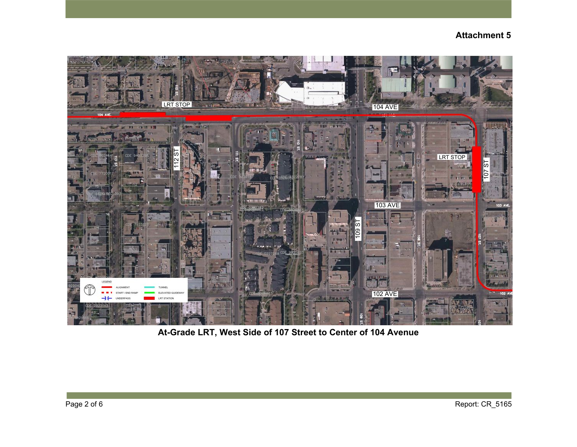

**At-Grade LRT, West Side of 107 Street to Center of 104 Avenue**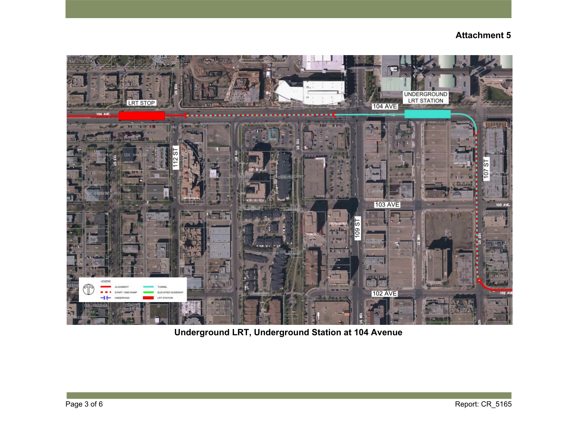

**Underground LRT, Underground Station at 104 Avenue**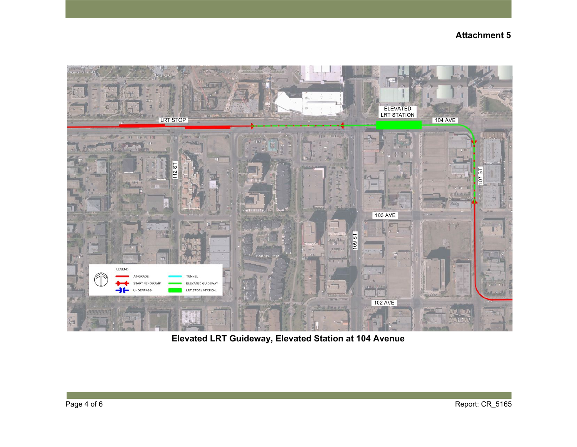

**Elevated LRT Guideway, Elevated Station at 104 Avenue**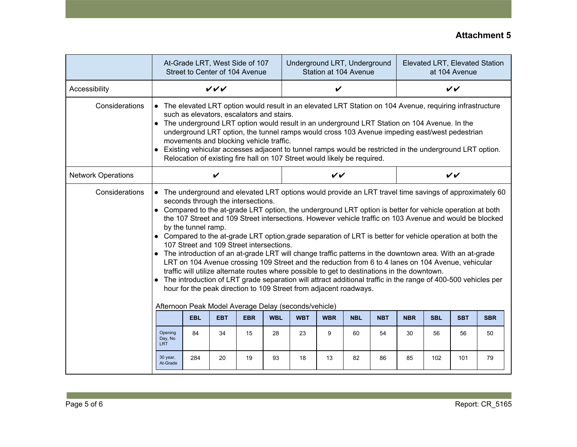|                           | At-Grade LRT, West Side of 107<br>Street to Center of 104 Avenue                                                                                                                                                                                                                                                                                                                                                                                                                                                                                                                                                                                                                                                                                                                                                                                                                                                                                                                                                                                                                                                                   |            |            |            |            | Underground LRT, Underground<br>Station at 104 Avenue |            |              |            |            | Elevated LRT, Elevated Station<br>at 104 Avenue |            |            |  |  |
|---------------------------|------------------------------------------------------------------------------------------------------------------------------------------------------------------------------------------------------------------------------------------------------------------------------------------------------------------------------------------------------------------------------------------------------------------------------------------------------------------------------------------------------------------------------------------------------------------------------------------------------------------------------------------------------------------------------------------------------------------------------------------------------------------------------------------------------------------------------------------------------------------------------------------------------------------------------------------------------------------------------------------------------------------------------------------------------------------------------------------------------------------------------------|------------|------------|------------|------------|-------------------------------------------------------|------------|--------------|------------|------------|-------------------------------------------------|------------|------------|--|--|
| Accessibility             | VVV                                                                                                                                                                                                                                                                                                                                                                                                                                                                                                                                                                                                                                                                                                                                                                                                                                                                                                                                                                                                                                                                                                                                |            |            |            |            |                                                       |            | $\checkmark$ |            |            |                                                 |            |            |  |  |
| Considerations            | • The elevated LRT option would result in an elevated LRT Station on 104 Avenue, requiring infrastructure<br>such as elevators, escalators and stairs.<br>• The underground LRT option would result in an underground LRT Station on 104 Avenue. In the<br>underground LRT option, the tunnel ramps would cross 103 Avenue impeding east/west pedestrian<br>movements and blocking vehicle traffic.<br>Existing vehicular accesses adjacent to tunnel ramps would be restricted in the underground LRT option.<br>Relocation of existing fire hall on 107 Street would likely be required.                                                                                                                                                                                                                                                                                                                                                                                                                                                                                                                                         |            |            |            |            |                                                       |            |              |            |            |                                                 |            |            |  |  |
| <b>Network Operations</b> | ✔                                                                                                                                                                                                                                                                                                                                                                                                                                                                                                                                                                                                                                                                                                                                                                                                                                                                                                                                                                                                                                                                                                                                  |            |            |            |            |                                                       |            | $\checkmark$ |            |            |                                                 |            |            |  |  |
| Considerations            | The underground and elevated LRT options would provide an LRT travel time savings of approximately 60<br>$\bullet$<br>seconds through the intersections.<br>• Compared to the at-grade LRT option, the underground LRT option is better for vehicle operation at both<br>the 107 Street and 109 Street intersections. However vehicle traffic on 103 Avenue and would be blocked<br>by the tunnel ramp.<br>• Compared to the at-grade LRT option, grade separation of LRT is better for vehicle operation at both the<br>107 Street and 109 Street intersections.<br>• The introduction of an at-grade LRT will change traffic patterns in the downtown area. With an at-grade<br>LRT on 104 Avenue crossing 109 Street and the reduction from 6 to 4 lanes on 104 Avenue, vehicular<br>traffic will utilize alternate routes where possible to get to destinations in the downtown.<br>The introduction of LRT grade separation will attract additional traffic in the range of 400-500 vehicles per<br>hour for the peak direction to 109 Street from adjacent roadways.<br>Afternoon Peak Model Average Delay (seconds/vehicle) |            |            |            |            |                                                       |            |              |            |            |                                                 |            |            |  |  |
|                           |                                                                                                                                                                                                                                                                                                                                                                                                                                                                                                                                                                                                                                                                                                                                                                                                                                                                                                                                                                                                                                                                                                                                    | <b>EBL</b> | <b>EBT</b> | <b>EBR</b> | <b>WBL</b> | <b>WBT</b>                                            | <b>WBR</b> | <b>NBL</b>   | <b>NBT</b> | <b>NBR</b> | <b>SBL</b>                                      | <b>SBT</b> | <b>SBR</b> |  |  |
|                           | Opening<br>Day, No<br><b>LRT</b>                                                                                                                                                                                                                                                                                                                                                                                                                                                                                                                                                                                                                                                                                                                                                                                                                                                                                                                                                                                                                                                                                                   | 84         | 34         | 15         | 28         | 23                                                    | 9          | 60           | 54         | 30         | 56                                              | 56         | 50         |  |  |
|                           | 30 year,<br>At-Grade                                                                                                                                                                                                                                                                                                                                                                                                                                                                                                                                                                                                                                                                                                                                                                                                                                                                                                                                                                                                                                                                                                               | 284        | 20         | 19         | 93         | 18                                                    | 13         | 82           | 86         | 85         | 102                                             | 101        | 79         |  |  |